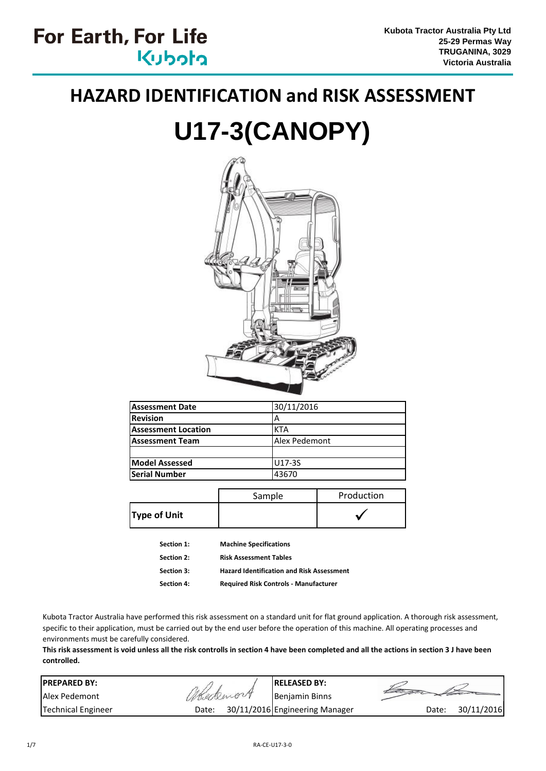# **HAZARD IDENTIFICATION and RISK ASSESSMENT**

# **U17-3(CANOPY)**



| Assessment Date            | 30/11/2016    |
|----------------------------|---------------|
| <b>Revision</b>            |               |
| <b>Assessment Location</b> | <b>KTA</b>    |
| <b>Assessment Team</b>     | Alex Pedemont |
|                            |               |
| <b>Model Assessed</b>      | U17-3S        |
| <b>Serial Number</b>       | 43670         |

|                     | Sample | Production |
|---------------------|--------|------------|
| <b>Type of Unit</b> |        |            |

| Section 1:        | <b>Machine Specifications</b>                    |
|-------------------|--------------------------------------------------|
| Section 2:        | <b>Risk Assessment Tables</b>                    |
| <b>Section 3:</b> | <b>Hazard Identification and Risk Assessment</b> |
| Section 4:        | <b>Required Risk Controls - Manufacturer</b>     |

Kubota Tractor Australia have performed this risk assessment on a standard unit for flat ground application. A thorough risk assessment, specific to their application, must be carried out by the end user before the operation of this machine. All operating processes and environments must be carefully considered.

**This risk assessment is void unless all the risk controlls in section 4 have been completed and all the actions in section 3 J have been controlled.**

| <b>IPREPARED BY:</b>      |           | <b>IRELEASED BY:</b>           |       |            |
|---------------------------|-----------|--------------------------------|-------|------------|
| Alex Pedemont             | Abedemont | Benjamin Binns                 |       |            |
| <b>Technical Engineer</b> | Date:     | 30/11/2016 Engineering Manager | Date: | 30/11/2016 |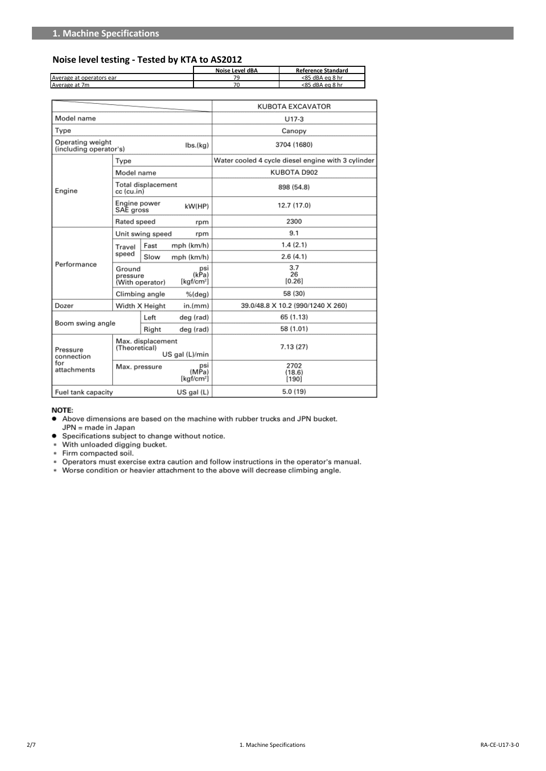#### **Noise level testing - Tested by KTA to AS2012**

|                          | Noise Level dBA | <b>Reference Standard</b> |
|--------------------------|-----------------|---------------------------|
| Average at operators ear |                 | $< 85$ dBA eq 8 hr        |
| Average at 7m            |                 | <85 dBA eg 8 hr           |

|                                            |                                                      |                           |                                                | KUBOTA EXCAVATOR                                   |  |  |  |
|--------------------------------------------|------------------------------------------------------|---------------------------|------------------------------------------------|----------------------------------------------------|--|--|--|
| Model name                                 |                                                      |                           |                                                | $U17-3$                                            |  |  |  |
| Type                                       |                                                      |                           |                                                | Canopy                                             |  |  |  |
| Operating weight<br>(including operator's) |                                                      |                           | $\mathsf{Ibs}(\mathsf{kg})$                    | 3704 (1680)                                        |  |  |  |
|                                            | Type                                                 |                           |                                                | Water cooled 4 cycle diesel engine with 3 cylinder |  |  |  |
|                                            | Model name                                           |                           |                                                | KUBOTA D902                                        |  |  |  |
| Engine                                     | cc (cu.in)                                           | Total displacement        |                                                | 898 (54.8)                                         |  |  |  |
|                                            |                                                      | Engine power<br>SAE gross |                                                | 12.7 (17.0)                                        |  |  |  |
|                                            | Rated speed                                          |                           | rpm                                            | 2300                                               |  |  |  |
|                                            | Unit swing speed<br>rpm                              |                           |                                                | 9.1                                                |  |  |  |
|                                            | Travel                                               | Fast                      | mph (km/h)                                     | 1.4(2.1)                                           |  |  |  |
|                                            | speed                                                | Slow                      | mph (km/h)                                     | 2.6(4.1)                                           |  |  |  |
| Performance                                | Ground<br>pressure<br>(With operator)                |                           | psi<br>(kPa)<br>$\left[\text{kgf/cm}^2\right]$ | 3.7<br>26<br>[0.26]                                |  |  |  |
|                                            | Climbing angle                                       |                           | $%$ (deg)                                      | 58 (30)                                            |  |  |  |
| Dozer                                      |                                                      | Width X Height            | in.(mm)                                        | 39.0/48.8 X 10.2 (990/1240 X 260)                  |  |  |  |
|                                            |                                                      | Left                      | deg (rad)                                      | 65 (1.13)                                          |  |  |  |
| Boom swing angle                           |                                                      | Right                     | deg (rad)                                      | 58 (1.01)                                          |  |  |  |
| Pressure<br>connection                     | Max. displacement<br>(Theoretical)<br>US gal (L)/min |                           |                                                | 7.13(27)                                           |  |  |  |
| for<br>attachments                         | Max. pressure                                        |                           | psi<br>(MPa)<br>[kgf/cm <sup>2</sup> ]         | 2702<br>(18.6)<br>[190]                            |  |  |  |
| Fuel tank capacity                         |                                                      |                           | $US$ gal $(L)$                                 | 5.0 (19)                                           |  |  |  |

#### NOTE:

- Above dimensions are based on the machine with rubber trucks and JPN bucket.  $\bullet$
- Noove announcing are based on the magnine with<br>IPN = made in Japan<br>● Specifications subject to change without notice.
- $\ast$ With unloaded digging bucket.
- \* Firm compacted soil.
- 
- Operators must exercise extra caution and follow instructions in the operator's manual.  $\ast$
- $\hat{\mathbf{r}}$ Worse condition or heavier attachment to the above will decrease climbing angle.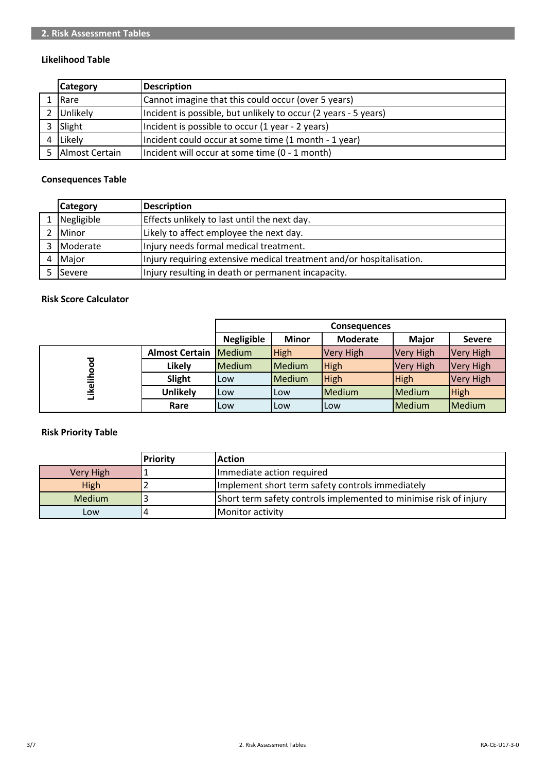#### **Likelihood Table**

| <b>Category</b> | Description                                                     |
|-----------------|-----------------------------------------------------------------|
| Rare            | Cannot imagine that this could occur (over 5 years)             |
| Unlikely        | Incident is possible, but unlikely to occur (2 years - 5 years) |
| Slight          | Incident is possible to occur (1 year - 2 years)                |
| Likely          | Incident could occur at some time (1 month - 1 year)            |
| Almost Certain  | Incident will occur at some time (0 - 1 month)                  |

#### **Consequences Table**

|   | <b>Category</b> | Description                                                          |
|---|-----------------|----------------------------------------------------------------------|
|   | Negligible      | Effects unlikely to last until the next day.                         |
|   | Minor           | Likely to affect employee the next day.                              |
|   | <b>Moderate</b> | Injury needs formal medical treatment.                               |
| 4 | Major           | Injury requiring extensive medical treatment and/or hospitalisation. |
|   | lSevere         | Injury resulting in death or permanent incapacity.                   |

### **Risk Score Calculator**

|         |                                | <b>Consequences</b>                                                                   |            |             |                  |                  |  |  |  |
|---------|--------------------------------|---------------------------------------------------------------------------------------|------------|-------------|------------------|------------------|--|--|--|
|         |                                | <b>Negligible</b><br><b>Minor</b><br><b>Major</b><br><b>Moderate</b><br><b>Severe</b> |            |             |                  |                  |  |  |  |
|         | <b>Almost Certain   Medium</b> |                                                                                       | High       | Very High   | <b>Very High</b> | <b>Very High</b> |  |  |  |
| ▿       | Likely                         | <b>IMedium</b>                                                                        | Medium     | <b>High</b> | <b>Very High</b> | <b>Very High</b> |  |  |  |
|         | Slight                         | Low                                                                                   | Medium     | <b>High</b> | <b>High</b>      | <b>Very High</b> |  |  |  |
| Likelih | <b>Unlikely</b>                | ,Low                                                                                  | <b>Low</b> | Medium      | Medium           | <b>High</b>      |  |  |  |
|         | Rare                           | Low                                                                                   | Low        | l Low       | Medium           | Medium           |  |  |  |

## **Risk Priority Table**

|               | <b>Priority</b> | <b>Action</b>                                                     |
|---------------|-----------------|-------------------------------------------------------------------|
| Very High     |                 | Immediate action required                                         |
| High          |                 | Implement short term safety controls immediately                  |
| <b>Medium</b> |                 | Short term safety controls implemented to minimise risk of injury |
| Low           |                 | <b>IMonitor activity</b>                                          |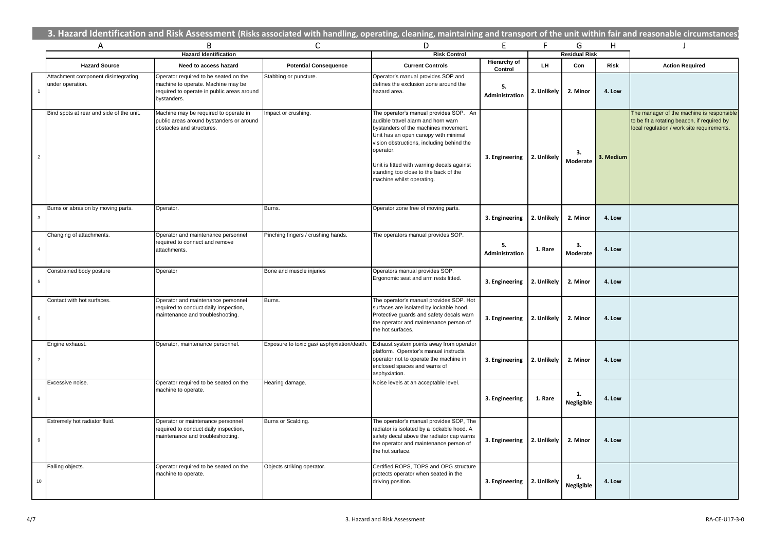|                | 3. Hazard Identification and Risk Assessment (Risks associated with handling, operating, cleaning, maintaining and transport of the unit within fair and reasonable circumstances |                                                                                                                                          |                                           |                                                                                                                                                                                                                                                                                                                                            |                         |             |                      |             |                                                                                                                                        |
|----------------|-----------------------------------------------------------------------------------------------------------------------------------------------------------------------------------|------------------------------------------------------------------------------------------------------------------------------------------|-------------------------------------------|--------------------------------------------------------------------------------------------------------------------------------------------------------------------------------------------------------------------------------------------------------------------------------------------------------------------------------------------|-------------------------|-------------|----------------------|-------------|----------------------------------------------------------------------------------------------------------------------------------------|
|                | Α                                                                                                                                                                                 | B                                                                                                                                        | C                                         | D                                                                                                                                                                                                                                                                                                                                          | E.                      | F.          | G                    | H           | - 1                                                                                                                                    |
|                |                                                                                                                                                                                   | <b>Hazard Identification</b>                                                                                                             |                                           | <b>Risk Control</b>                                                                                                                                                                                                                                                                                                                        |                         |             | <b>Residual Risk</b> |             |                                                                                                                                        |
|                | <b>Hazard Source</b>                                                                                                                                                              | Need to access hazard                                                                                                                    | <b>Potential Consequence</b>              | <b>Current Controls</b>                                                                                                                                                                                                                                                                                                                    | Hierarchy of<br>Control | LH          | Con                  | <b>Risk</b> | <b>Action Required</b>                                                                                                                 |
| $\overline{1}$ | Attachment component disintegrating<br>under operation.                                                                                                                           | Operator required to be seated on the<br>machine to operate. Machine may be<br>required to operate in public areas around<br>bystanders. | Stabbing or puncture.                     | Operator's manual provides SOP and<br>defines the exclusion zone around the<br>hazard area.                                                                                                                                                                                                                                                | 5.<br>Administration    | 2. Unlikely | 2. Minor             | 4. Low      |                                                                                                                                        |
| $\overline{2}$ | Bind spots at rear and side of the unit.                                                                                                                                          | Machine may be required to operate in<br>public areas around bystanders or around<br>obstacles and structures.                           | mpact or crushing.                        | The operator's manual provides SOP. An<br>audible travel alarm and horn warn<br>bystanders of the machines movement.<br>Unit has an open canopy with minimal<br>vision obstructions, including behind the<br>operator.<br>Unit is fitted with warning decals against<br>standing too close to the back of the<br>machine whilst operating. | 3. Engineering          | 2. Unlikely | З.<br>Moderate       | 3. Medium   | The manager of the machine is responsible<br>to be fit a rotating beacon, if required by<br>local regulation / work site requirements. |
| $_{\rm 3}$     | Burns or abrasion by moving parts.                                                                                                                                                | Operator.                                                                                                                                | Burns.                                    | Operator zone free of moving parts.                                                                                                                                                                                                                                                                                                        | 3. Engineering          | 2. Unlikely | 2. Minor             | 4. Low      |                                                                                                                                        |
| $\overline{4}$ | Changing of attachments.                                                                                                                                                          | Operator and maintenance personnel<br>required to connect and remove<br>attachments.                                                     | Pinching fingers / crushing hands.        | The operators manual provides SOP.                                                                                                                                                                                                                                                                                                         | 5.<br>Administration    | 1. Rare     | 3.<br>Moderate       | 4. Low      |                                                                                                                                        |
| $\,$ 5 $\,$    | Constrained body posture                                                                                                                                                          | Operator                                                                                                                                 | Bone and muscle injuries                  | Operators manual provides SOP.<br>Ergonomic seat and arm rests fitted.                                                                                                                                                                                                                                                                     | 3. Engineering          | 2. Unlikely | 2. Minor             | 4. Low      |                                                                                                                                        |
| $\,6\,$        | Contact with hot surfaces.                                                                                                                                                        | Operator and maintenance personnel<br>required to conduct daily inspection,<br>maintenance and troubleshooting.                          | Burns.                                    | The operator's manual provides SOP. Hot<br>surfaces are isolated by lockable hood.<br>Protective guards and safety decals warn<br>the operator and maintenance person of<br>the hot surfaces.                                                                                                                                              | 3. Engineering          | 2. Unlikely | 2. Minor             | 4. Low      |                                                                                                                                        |
| $\overline{7}$ | Engine exhaust.                                                                                                                                                                   | Operator, maintenance personnel.                                                                                                         | Exposure to toxic gas/ asphyxiation/death | Exhaust system points away from operator<br>platform. Operator's manual instructs<br>operator not to operate the machine in<br>enclosed spaces and warns of<br>asphyxiation.                                                                                                                                                               | 3. Engineering          | 2. Unlikely | 2. Minor             | 4. Low      |                                                                                                                                        |
| $\bf8$         | Excessive noise.                                                                                                                                                                  | Operator required to be seated on the<br>machine to operate.                                                                             | Hearing damage.                           | Noise levels at an acceptable level.                                                                                                                                                                                                                                                                                                       | 3. Engineering          | 1. Rare     | 1.<br>Negligible     | 4. Low      |                                                                                                                                        |
| 9              | Extremely hot radiator fluid.                                                                                                                                                     | Operator or maintenance personnel<br>equired to conduct daily inspection,<br>maintenance and troubleshooting.                            | Burns or Scalding.                        | The operator's manual provides SOP, The<br>radiator is isolated by a lockable hood. A<br>safety decal above the radiator cap warns<br>the operator and maintenance person of<br>the hot surface.                                                                                                                                           | 3. Engineering          | 2. Unlikely | 2. Minor             | 4. Low      |                                                                                                                                        |
| $10$           | Falling objects.                                                                                                                                                                  | Operator required to be seated on the<br>machine to operate.                                                                             | Objects striking operator.                | Certified ROPS, TOPS and OPG structure<br>protects operator when seated in the<br>driving position.                                                                                                                                                                                                                                        | 3. Engineering          | 2. Unlikely | 1.<br>Negligible     | 4. Low      |                                                                                                                                        |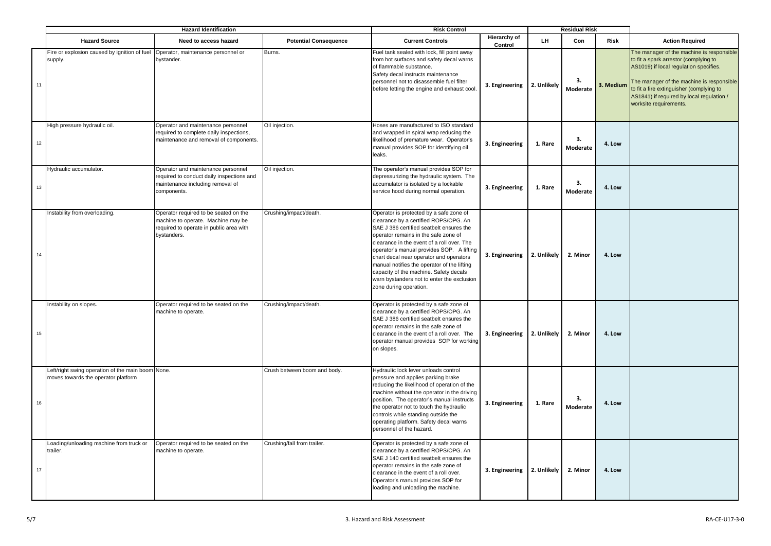|      | <b>Hazard Identification</b>                                                               |                                                                                                                                       |                              | <b>Risk Control</b>                                                                                                                                                                                                                                                                                                                                                                                                                                                         | <b>Residual Risk</b>           |             |                |             |                                                                                                                                                                                                                                                                                              |
|------|--------------------------------------------------------------------------------------------|---------------------------------------------------------------------------------------------------------------------------------------|------------------------------|-----------------------------------------------------------------------------------------------------------------------------------------------------------------------------------------------------------------------------------------------------------------------------------------------------------------------------------------------------------------------------------------------------------------------------------------------------------------------------|--------------------------------|-------------|----------------|-------------|----------------------------------------------------------------------------------------------------------------------------------------------------------------------------------------------------------------------------------------------------------------------------------------------|
|      | <b>Hazard Source</b>                                                                       | Need to access hazard                                                                                                                 | <b>Potential Consequence</b> | <b>Current Controls</b>                                                                                                                                                                                                                                                                                                                                                                                                                                                     | <b>Hierarchy of</b><br>Control | LH.         | Con            | <b>Risk</b> | <b>Action Required</b>                                                                                                                                                                                                                                                                       |
| 11   | Fire or explosion caused by ignition of fuel Operator, maintenance personnel or<br>supply. | bystander.                                                                                                                            | Burns.                       | Fuel tank sealed with lock, fill point away<br>from hot surfaces and safety decal warns<br>of flammable substance.<br>Safety decal instructs maintenance<br>personnel not to disassemble fuel filter<br>before letting the engine and exhaust cool.                                                                                                                                                                                                                         | 3. Engineering 2. Unlikely     |             | 3.<br>Moderate | 3. Medium   | The manager of the machine is responsible<br>to fit a spark arrestor (complying to<br>AS1019) if local regulation specifies.<br>The manager of the machine is responsible<br>to fit a fire extinguisher (complying to<br>AS1841) if required by local regulation /<br>worksite requirements. |
| 12   | High pressure hydraulic oil.                                                               | Operator and maintenance personnel<br>required to complete daily inspections,<br>maintenance and removal of components.               | Oil injection.               | Hoses are manufactured to ISO standard<br>and wrapped in spiral wrap reducing the<br>likelihood of premature wear. Operator's<br>manual provides SOP for identifying oil<br>leaks.                                                                                                                                                                                                                                                                                          | 3. Engineering                 | 1. Rare     | 3.<br>Moderate | 4. Low      |                                                                                                                                                                                                                                                                                              |
| 13   | Hydraulic accumulator.                                                                     | Operator and maintenance personnel<br>equired to conduct daily inspections and<br>maintenance including removal of<br>components.     | Oil injection.               | The operator's manual provides SOP for<br>depressurizing the hydraulic system. The<br>accumulator is isolated by a lockable<br>service hood during normal operation.                                                                                                                                                                                                                                                                                                        | 3. Engineering                 | 1. Rare     | 3.<br>Moderate | 4. Low      |                                                                                                                                                                                                                                                                                              |
| $14$ | Instability from overloading.                                                              | Operator required to be seated on the<br>machine to operate. Machine may be<br>required to operate in public area with<br>bystanders. | Crushing/impact/death.       | Operator is protected by a safe zone of<br>clearance by a certified ROPS/OPG. An<br>SAE J 386 certified seatbelt ensures the<br>operator remains in the safe zone of<br>clearance in the event of a roll over. The<br>operator's manual provides SOP. A lifting<br>chart decal near operator and operators<br>manual notifies the operator of the lifting<br>capacity of the machine. Safety decals<br>warn bystanders not to enter the exclusion<br>zone during operation. | 3. Engineering                 | 2. Unlikely | 2. Minor       | 4. Low      |                                                                                                                                                                                                                                                                                              |
| 15   | Instability on slopes.                                                                     | Operator required to be seated on the<br>machine to operate.                                                                          | Crushing/impact/death.       | Operator is protected by a safe zone of<br>clearance by a certified ROPS/OPG. An<br>SAE J 386 certified seatbelt ensures the<br>operator remains in the safe zone of<br>clearance in the event of a roll over. The<br>operator manual provides SOP for working<br>on slopes.                                                                                                                                                                                                | 3. Engineering                 | 2. Unlikely | 2. Minor       | 4. Low      |                                                                                                                                                                                                                                                                                              |
| 16   | Left/right swing operation of the main boom None.<br>moves towards the operator platform   |                                                                                                                                       | Crush between boom and body. | Hydraulic lock lever unloads control<br>pressure and applies parking brake<br>reducing the likelihood of operation of the<br>machine without the operator in the driving<br>position. The operator's manual instructs<br>the operator not to touch the hydraulic<br>controls while standing outside the<br>operating platform. Safety decal warns<br>personnel of the hazard.                                                                                               | 3. Engineering                 | 1. Rare     | 3.<br>Moderate | 4. Low      |                                                                                                                                                                                                                                                                                              |
| 17   | Loading/unloading machine from truck or<br>trailer.                                        | Operator required to be seated on the<br>machine to operate.                                                                          | Crushing/fall from trailer.  | Operator is protected by a safe zone of<br>clearance by a certified ROPS/OPG. An<br>SAE J 140 certified seatbelt ensures the<br>operator remains in the safe zone of<br>clearance in the event of a roll over.<br>Operator's manual provides SOP for<br>loading and unloading the machine.                                                                                                                                                                                  | 3. Engineering                 | 2. Unlikely | 2. Minor       | 4. Low      |                                                                                                                                                                                                                                                                                              |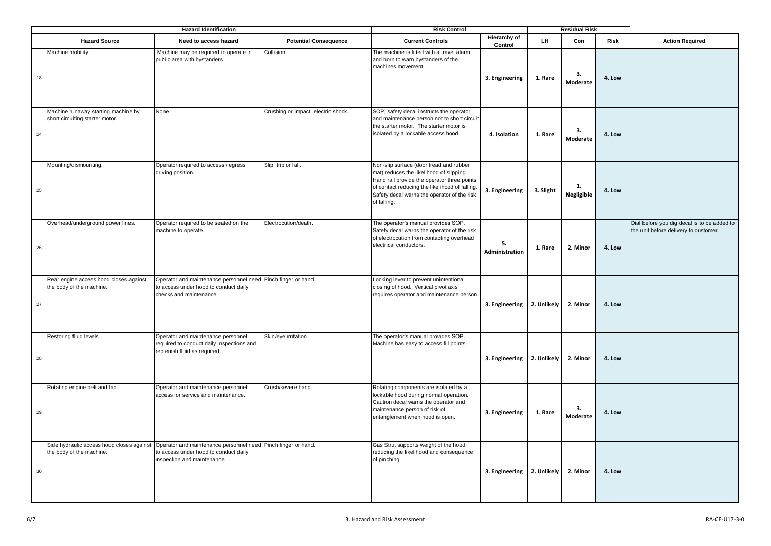|    | <b>Hazard Identification</b>                                           |                                                                                                                                                                                 |                                     | <b>Risk Control</b>                                                                                                                                                                                                                                |                                | <b>Residual Risk</b> |                         |             |                                                                                      |
|----|------------------------------------------------------------------------|---------------------------------------------------------------------------------------------------------------------------------------------------------------------------------|-------------------------------------|----------------------------------------------------------------------------------------------------------------------------------------------------------------------------------------------------------------------------------------------------|--------------------------------|----------------------|-------------------------|-------------|--------------------------------------------------------------------------------------|
|    | <b>Hazard Source</b>                                                   | Need to access hazard                                                                                                                                                           | <b>Potential Consequence</b>        | <b>Current Controls</b>                                                                                                                                                                                                                            | <b>Hierarchy of</b><br>Control | LH.                  | Con                     | <b>Risk</b> | <b>Action Required</b>                                                               |
| 18 | Machine mobility.                                                      | Machine may be required to operate in<br>public area with bystanders.                                                                                                           | Collision.                          | The machine is fitted with a travel alarm<br>and horn to warn bystanders of the<br>machines movement.                                                                                                                                              | 3. Engineering                 | 1. Rare              | 3.<br>Moderate          | 4. Low      |                                                                                      |
| 24 | Machine runaway starting machine by<br>short circuiting starter motor. | None.                                                                                                                                                                           | Crushing or impact, electric shock. | SOP, safety decal instructs the operator<br>and maintenance person not to short circuit<br>the starter motor. The starter motor is<br>isolated by a lockable access hood.                                                                          | 4. Isolation                   | 1. Rare              | 3.<br>Moderate          | 4. Low      |                                                                                      |
| 25 | Mounting/dismounting.                                                  | Operator required to access / egress<br>driving position.                                                                                                                       | Slip, trip or fall.                 | Non-slip surface (door tread and rubber<br>mat) reduces the likelihood of slipping.<br>Hand rail provide the operator three points<br>of contact reducing the likelihood of falling.<br>Safety decal warns the operator of the risk<br>of falling. | 3. Engineering                 | 3. Slight            | 1.<br><b>Negligible</b> | 4. Low      |                                                                                      |
| 26 | Overhead/underground power lines.                                      | Operator required to be seated on the<br>machine to operate.                                                                                                                    | Electrocution/death.                | The operator's manual provides SOP.<br>Safety decal warns the operator of the risk<br>of electrocution from contacting overhead<br>electrical conductors.                                                                                          | 5.<br>Administration           | 1. Rare              | 2. Minor                | 4. Low      | Dial before you dig decal is to be added to<br>the unit before delivery to customer. |
| 27 | Rear engine access hood closes against<br>the body of the machine.     | Operator and maintenance personnel need Pinch finger or hand.<br>to access under hood to conduct daily<br>checks and maintenance.                                               |                                     | Locking lever to prevent unintentional<br>closing of hood. Vertical pivot axis<br>requires operator and maintenance person.                                                                                                                        | 3. Engineering                 | 2. Unlikely          | 2. Minor                | 4. Low      |                                                                                      |
| 28 | Restoring fluid levels.                                                | Operator and maintenance personnel<br>required to conduct daily inspections and<br>replenish fluid as required.                                                                 | Skin/eye irritation.                | The operator's manual provides SOP.<br>Machine has easy to access fill points.                                                                                                                                                                     | 3. Engineering                 | 2. Unlikely          | 2. Minor                | 4. Low      |                                                                                      |
| 29 | Rotating engine belt and fan.                                          | Operator and maintenance personnel<br>access for service and maintenance.                                                                                                       | Crush/severe hand.                  | Rotating components are isolated by a<br>lockable hood during normal operation.<br>Caution decal warns the operator and<br>maintenance person of risk of<br>entanglement when hood is open.                                                        | 3. Engineering                 | 1. Rare              | 3.<br>Moderate          | 4. Low      |                                                                                      |
| 30 | the body of the machine.                                               | Side hydraulic access hood closes against Operator and maintenance personnel need Pinch finger or hand.<br>to access under hood to conduct daily<br>inspection and maintenance. |                                     | Gas Strut supports weight of the hood<br>reducing the likelihood and consequence<br>of pinching.                                                                                                                                                   | 3. Engineering                 | 2. Unlikely          | 2. Minor                | 4. Low      |                                                                                      |